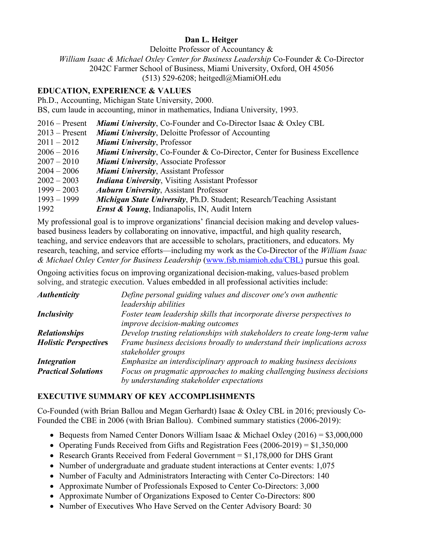## **Dan L. Heitger**

Deloitte Professor of Accountancy &

*William Isaac & Michael Oxley Center for Business Leadership* Co-Founder & Co-Director

2042C Farmer School of Business, Miami University, Oxford, OH 45056

 $(513)$  529-6208; heitgedl@MiamiOH.edu

## **EDUCATION, EXPERIENCE & VALUES**

Ph.D., Accounting, Michigan State University, 2000.

BS, cum laude in accounting, minor in mathematics, Indiana University, 1993.

- 2016 Present *Miami University*, Co-Founder and Co-Director Isaac & Oxley CBL
- 2013 Present *Miami University*, Deloitte Professor of Accounting
- 2011 2012 *Miami University*, Professor
- 2006 2016 *Miami University*, Co-Founder & Co-Director, Center for Business Excellence
- 2007 2010 *Miami University*, Associate Professor
- 2004 2006 *Miami University*, Assistant Professor
- 2002 2003 *Indiana University*, Visiting Assistant Professor
- 1999 2003 *Auburn University*, Assistant Professor
- 1993 1999 *Michigan State University*, Ph.D. Student; Research/Teaching Assistant
- 1992 *Ernst & Young*, Indianapolis, IN, Audit Intern

My professional goal is to improve organizations' financial decision making and develop valuesbased business leaders by collaborating on innovative, impactful, and high quality research, teaching, and service endeavors that are accessible to scholars, practitioners, and educators. My research, teaching, and service efforts—including my work as the Co-Director of the *William Isaac & Michael Oxley Center for Business Leadership* (www.fsb.miamioh.edu/CBL) pursue this goal.

Ongoing activities focus on improving organizational decision-making, values-based problem solving, and strategic execution. Values embedded in all professional activities include:

| <b>Authenticity</b>          | Define personal guiding values and discover one's own authentic                                |
|------------------------------|------------------------------------------------------------------------------------------------|
|                              | leadership abilities                                                                           |
| Inclusivity                  | Foster team leadership skills that incorporate diverse perspectives to                         |
|                              | <i>improve decision-making outcomes</i>                                                        |
| <b>Relationships</b>         | Develop trusting relationships with stakeholders to create long-term value                     |
| <b>Holistic Perspectives</b> | Frame business decisions broadly to understand their implications across<br>stakeholder groups |
| <b>Integration</b>           | Emphasize an interdisciplinary approach to making business decisions                           |
| <b>Practical Solutions</b>   | Focus on pragmatic approaches to making challenging business decisions                         |
|                              | by understanding stakeholder expectations                                                      |

### **EXECUTIVE SUMMARY OF KEY ACCOMPLISHMENTS**

Co-Founded (with Brian Ballou and Megan Gerhardt) Isaac & Oxley CBL in 2016; previously Co-Founded the CBE in 2006 (with Brian Ballou). Combined summary statistics (2006-2019):

- Bequests from Named Center Donors William Isaac & Michael Oxley (2016) =  $$3,000,000$
- Operating Funds Received from Gifts and Registration Fees (2006-2019) = \$1,350,000
- Research Grants Received from Federal Government = \$1,178,000 for DHS Grant
- Number of undergraduate and graduate student interactions at Center events: 1,075
- Number of Faculty and Administrators Interacting with Center Co-Directors: 140
- Approximate Number of Professionals Exposed to Center Co-Directors: 3,000
- Approximate Number of Organizations Exposed to Center Co-Directors: 800
- Number of Executives Who Have Served on the Center Advisory Board: 30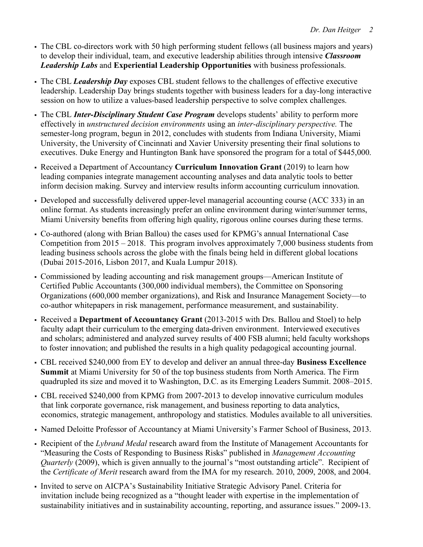- The CBL co-directors work with 50 high performing student fellows (all business majors and years) to develop their individual, team, and executive leadership abilities through intensive *Classroom Leadership Labs* and **Experiential Leadership Opportunities** with business professionals.
- The CBL *Leadership Day* exposes CBL student fellows to the challenges of effective executive leadership. Leadership Day brings students together with business leaders for a day-long interactive session on how to utilize a values-based leadership perspective to solve complex challenges.
- The CBL *Inter-Disciplinary Student Case Program* develops students' ability to perform more effectively in *unstructured decision environments* using an *inter-disciplinary perspective.* The semester-long program, begun in 2012, concludes with students from Indiana University, Miami University, the University of Cincinnati and Xavier University presenting their final solutions to executives. Duke Energy and Huntington Bank have sponsored the program for a total of \$445,000.
- § Received a Department of Accountancy **Curriculum Innovation Grant** (2019) to learn how leading companies integrate management accounting analyses and data analytic tools to better inform decision making. Survey and interview results inform accounting curriculum innovation.
- Developed and successfully delivered upper-level managerial accounting course (ACC 333) in an online format. As students increasingly prefer an online environment during winter/summer terms, Miami University benefits from offering high quality, rigorous online courses during these terms.
- § Co-authored (along with Brian Ballou) the cases used for KPMG's annual International Case Competition from 2015 – 2018. This program involves approximately 7,000 business students from leading business schools across the globe with the finals being held in different global locations (Dubai 2015-2016, Lisbon 2017, and Kuala Lumpur 2018).
- § Commissioned by leading accounting and risk management groups—American Institute of Certified Public Accountants (300,000 individual members), the Committee on Sponsoring Organizations (600,000 member organizations), and Risk and Insurance Management Society—to co-author whitepapers in risk management, performance measurement, and sustainability.
- § Received a **Department of Accountancy Grant** (2013-2015 with Drs. Ballou and Stoel) to help faculty adapt their curriculum to the emerging data-driven environment. Interviewed executives and scholars; administered and analyzed survey results of 400 FSB alumni; held faculty workshops to foster innovation; and published the results in a high quality pedagogical accounting journal.
- § CBL received \$240,000 from EY to develop and deliver an annual three-day **Business Excellence Summit** at Miami University for 50 of the top business students from North America. The Firm quadrupled its size and moved it to Washington, D.C. as its Emerging Leaders Summit. 2008–2015.
- CBL received \$240,000 from KPMG from 2007-2013 to develop innovative curriculum modules that link corporate governance, risk management, and business reporting to data analytics, economics, strategic management, anthropology and statistics. Modules available to all universities.
- § Named Deloitte Professor of Accountancy at Miami University's Farmer School of Business, 2013.
- § Recipient of the *Lybrand Medal* research award from the Institute of Management Accountants for "Measuring the Costs of Responding to Business Risks" published in *Management Accounting Quarterly* (2009), which is given annually to the journal's "most outstanding article". Recipient of the *Certificate of Merit* research award from the IMA for my research. 2010, 2009, 2008, and 2004.
- Invited to serve on AICPA's Sustainability Initiative Strategic Advisory Panel. Criteria for invitation include being recognized as a "thought leader with expertise in the implementation of sustainability initiatives and in sustainability accounting, reporting, and assurance issues." 2009-13.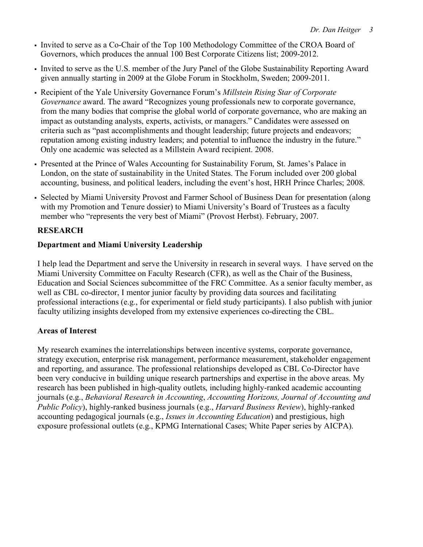- Invited to serve as a Co-Chair of the Top 100 Methodology Committee of the CROA Board of Governors, which produces the annual 100 Best Corporate Citizens list; 2009-2012.
- § Invited to serve as the U.S. member of the Jury Panel of the Globe Sustainability Reporting Award given annually starting in 2009 at the Globe Forum in Stockholm, Sweden; 2009-2011.
- § Recipient of the Yale University Governance Forum's *Millstein Rising Star of Corporate Governance* award. The award "Recognizes young professionals new to corporate governance, from the many bodies that comprise the global world of corporate governance, who are making an impact as outstanding analysts, experts, activists, or managers." Candidates were assessed on criteria such as "past accomplishments and thought leadership; future projects and endeavors; reputation among existing industry leaders; and potential to influence the industry in the future." Only one academic was selected as a Millstein Award recipient. 2008.
- § Presented at the Prince of Wales Accounting for Sustainability Forum, St. James's Palace in London, on the state of sustainability in the United States. The Forum included over 200 global accounting, business, and political leaders, including the event's host, HRH Prince Charles; 2008.
- Selected by Miami University Provost and Farmer School of Business Dean for presentation (along with my Promotion and Tenure dossier) to Miami University's Board of Trustees as a faculty member who "represents the very best of Miami" (Provost Herbst). February, 2007.

# **RESEARCH**

## **Department and Miami University Leadership**

I help lead the Department and serve the University in research in several ways. I have served on the Miami University Committee on Faculty Research (CFR), as well as the Chair of the Business, Education and Social Sciences subcommittee of the FRC Committee. As a senior faculty member, as well as CBL co-director, I mentor junior faculty by providing data sources and facilitating professional interactions (e.g., for experimental or field study participants). I also publish with junior faculty utilizing insights developed from my extensive experiences co-directing the CBL.

## **Areas of Interest**

My research examines the interrelationships between incentive systems, corporate governance, strategy execution, enterprise risk management, performance measurement, stakeholder engagement and reporting, and assurance. The professional relationships developed as CBL Co-Director have been very conducive in building unique research partnerships and expertise in the above areas. My research has been published in high-quality outlets, including highly-ranked academic accounting journals (e.g., *Behavioral Research in Accounting*, *Accounting Horizons, Journal of Accounting and Public Policy*), highly-ranked business journals (e.g., *Harvard Business Review*), highly-ranked accounting pedagogical journals (e.g., *Issues in Accounting Education*) and prestigious, high exposure professional outlets (e.g., KPMG International Cases; White Paper series by AICPA).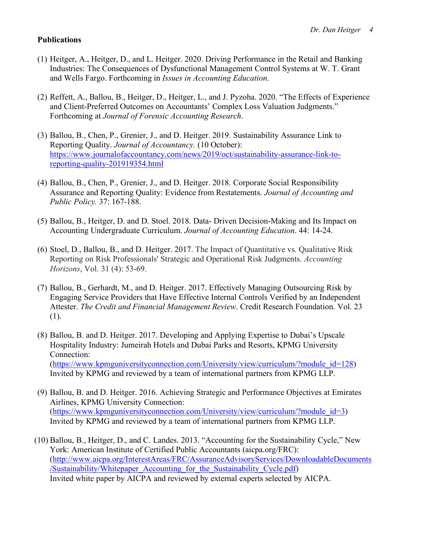## **Publications**

- (1) Heitger, A., Heitger, D., and L. Heitger. 2020. Driving Performance in the Retail and Banking Industries: The Consequences of Dysfunctional Management Control Systems at W. T. Grant and Wells Fargo. Forthcoming in *Issues in Accounting Education*.
- (2) Reffett, A., Ballou, B., Heitger, D., Heitger, L., and J. Pyzoha. 2020. "The Effects of Experience and Client-Preferred Outcomes on Accountants' Complex Loss Valuation Judgments." Forthcoming at *Journal of Forensic Accounting Research*.
- (3) Ballou, B., Chen, P., Grenier, J., and D. Heitger. 2019. Sustainability Assurance Link to Reporting Quality. *Journal of Accountancy.* (10 October): https://www.journalofaccountancy.com/news/2019/oct/sustainability-assurance-link-toreporting-quality-201919354.html
- (4) Ballou, B., Chen, P., Grenier, J., and D. Heitger. 2018. Corporate Social Responsibility Assurance and Reporting Quality: Evidence from Restatements. *Journal of Accounting and Public Policy.* 37: 167-188.
- (5) Ballou, B., Heitger, D. and D. Stoel. 2018. Data- Driven Decision-Making and Its Impact on Accounting Undergraduate Curriculum. *Journal of Accounting Education*. 44: 14-24.
- (6) Stoel, D., Ballou, B., and D. Heitger. 2017. The Impact of Quantitative vs. Qualitative Risk Reporting on Risk Professionals' Strategic and Operational Risk Judgments. *Accounting Horizons*, Vol. 31 (4): 53-69.
- (7) Ballou, B., Gerhardt, M., and D. Heitger. 2017. Effectively Managing Outsourcing Risk by Engaging Service Providers that Have Effective Internal Controls Verified by an Independent Attester. *The Credit and Financial Management Review*. Credit Research Foundation. Vol. 23 (1).
- (8) Ballou, B. and D. Heitger. 2017. Developing and Applying Expertise to Dubai's Upscale Hospitality Industry: Jumeirah Hotels and Dubai Parks and Resorts, KPMG University Connection: (https://www.kpmguniversityconnection.com/University/view/curriculum/?module\_id=128) Invited by KPMG and reviewed by a team of international partners from KPMG LLP.
- (9) Ballou, B. and D. Heitger. 2016. Achieving Strategic and Performance Objectives at Emirates Airlines, KPMG University Connection: (https://www.kpmguniversityconnection.com/University/view/curriculum/?module\_id=3) Invited by KPMG and reviewed by a team of international partners from KPMG LLP.
- (10) Ballou, B., Heitger, D., and C. Landes. 2013. "Accounting for the Sustainability Cycle," New York: American Institute of Certified Public Accountants (aicpa.org/FRC): (http://www.aicpa.org/InterestAreas/FRC/AssuranceAdvisoryServices/DownloadableDocuments /Sustainability/Whitepaper\_Accounting\_for\_the\_Sustainability\_Cycle.pdf) Invited white paper by AICPA and reviewed by external experts selected by AICPA.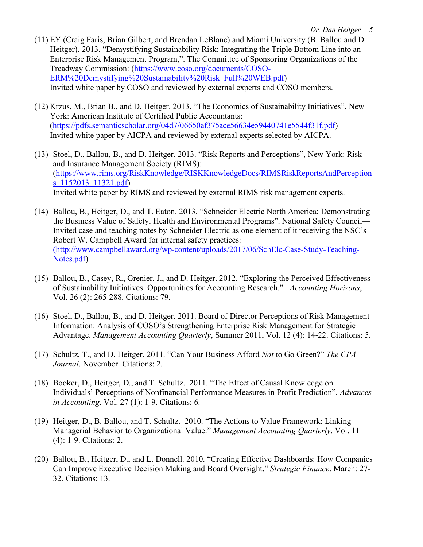- (11) EY (Craig Faris, Brian Gilbert, and Brendan LeBlanc) and Miami University (B. Ballou and D. Heitger). 2013. "Demystifying Sustainability Risk: Integrating the Triple Bottom Line into an Enterprise Risk Management Program,". The Committee of Sponsoring Organizations of the Treadway Commission: (https://www.coso.org/documents/COSO-ERM%20Demystifying%20Sustainability%20Risk\_Full%20WEB.pdf) Invited white paper by COSO and reviewed by external experts and COSO members.
- (12) Krzus, M., Brian B., and D. Heitger. 2013. "The Economics of Sustainability Initiatives". New York: American Institute of Certified Public Accountants: (https://pdfs.semanticscholar.org/04d7/06650af375ace56634e59440741e5544f31f.pdf) Invited white paper by AICPA and reviewed by external experts selected by AICPA.
- (13) Stoel, D., Ballou, B., and D. Heitger. 2013. "Risk Reports and Perceptions", New York: Risk and Insurance Management Society (RIMS): (https://www.rims.org/RiskKnowledge/RISKKnowledgeDocs/RIMSRiskReportsAndPerception s 1152013 11321.pdf) Invited white paper by RIMS and reviewed by external RIMS risk management experts.
- (14) Ballou, B., Heitger, D., and T. Eaton. 2013. "Schneider Electric North America: Demonstrating the Business Value of Safety, Health and Environmental Programs". National Safety Council— Invited case and teaching notes by Schneider Electric as one element of it receiving the NSC's Robert W. Campbell Award for internal safety practices: (http://www.campbellaward.org/wp-content/uploads/2017/06/SchElc-Case-Study-Teaching-Notes.pdf)
- (15) Ballou, B., Casey, R., Grenier, J., and D. Heitger. 2012. "Exploring the Perceived Effectiveness of Sustainability Initiatives: Opportunities for Accounting Research." *Accounting Horizons*, Vol. 26 (2): 265-288. Citations: 79.
- (16) Stoel, D., Ballou, B., and D. Heitger. 2011. Board of Director Perceptions of Risk Management Information: Analysis of COSO's Strengthening Enterprise Risk Management for Strategic Advantage. *Management Accounting Quarterly*, Summer 2011, Vol. 12 (4): 14-22. Citations: 5.
- (17) Schultz, T., and D. Heitger. 2011. "Can Your Business Afford *Not* to Go Green?" *The CPA Journal*. November. Citations: 2.
- (18) Booker, D., Heitger, D., and T. Schultz. 2011. "The Effect of Causal Knowledge on Individuals' Perceptions of Nonfinancial Performance Measures in Profit Prediction". *Advances in Accounting*. Vol. 27 (1): 1-9. Citations: 6.
- (19) Heitger, D., B. Ballou, and T. Schultz. 2010. "The Actions to Value Framework: Linking Managerial Behavior to Organizational Value." *Management Accounting Quarterly*. Vol. 11 (4): 1-9. Citations: 2.
- (20) Ballou, B., Heitger, D., and L. Donnell. 2010. "Creating Effective Dashboards: How Companies Can Improve Executive Decision Making and Board Oversight." *Strategic Finance*. March: 27- 32. Citations: 13.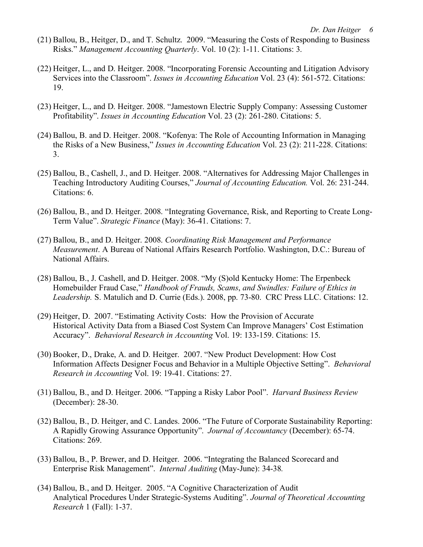- (21) Ballou, B., Heitger, D., and T. Schultz. 2009. "Measuring the Costs of Responding to Business Risks." *Management Accounting Quarterly*. Vol. 10 (2): 1-11. Citations: 3.
- (22) Heitger, L., and D. Heitger. 2008. "Incorporating Forensic Accounting and Litigation Advisory Services into the Classroom". *Issues in Accounting Education* Vol. 23 (4): 561-572. Citations: 19.
- (23) Heitger, L., and D. Heitger. 2008. "Jamestown Electric Supply Company: Assessing Customer Profitability". *Issues in Accounting Education* Vol. 23 (2): 261-280. Citations: 5.
- (24) Ballou, B. and D. Heitger. 2008. "Kofenya: The Role of Accounting Information in Managing the Risks of a New Business," *Issues in Accounting Education* Vol. 23 (2): 211-228. Citations: 3.
- (25) Ballou, B., Cashell, J., and D. Heitger. 2008. "Alternatives for Addressing Major Challenges in Teaching Introductory Auditing Courses," *Journal of Accounting Education.* Vol. 26: 231-244. Citations: 6.
- (26) Ballou, B., and D. Heitger. 2008. "Integrating Governance, Risk, and Reporting to Create Long-Term Value". *Strategic Finance* (May): 36-41. Citations: 7.
- (27) Ballou, B., and D. Heitger. 2008. *Coordinating Risk Management and Performance Measurement*. A Bureau of National Affairs Research Portfolio. Washington, D.C.: Bureau of National Affairs.
- (28) Ballou, B., J. Cashell, and D. Heitger. 2008. "My (S)old Kentucky Home: The Erpenbeck Homebuilder Fraud Case," *Handbook of Frauds, Scams*, *and Swindles: Failure of Ethics in Leadership.* S. Matulich and D. Currie (Eds.). 2008, pp. 73-80. CRC Press LLC. Citations: 12.
- (29) Heitger, D. 2007. "Estimating Activity Costs: How the Provision of Accurate Historical Activity Data from a Biased Cost System Can Improve Managers' Cost Estimation Accuracy". *Behavioral Research in Accounting* Vol. 19: 133-159. Citations: 15.
- (30) Booker, D., Drake, A. and D. Heitger. 2007. "New Product Development: How Cost Information Affects Designer Focus and Behavior in a Multiple Objective Setting". *Behavioral Research in Accounting* Vol. 19: 19-41. Citations: 27.
- (31) Ballou, B., and D. Heitger. 2006. "Tapping a Risky Labor Pool". *Harvard Business Review* (December): 28-30.
- (32) Ballou, B., D. Heitger, and C. Landes. 2006. "The Future of Corporate Sustainability Reporting: A Rapidly Growing Assurance Opportunity". *Journal of Accountancy* (December): 65-74. Citations: 269.
- (33) Ballou, B., P. Brewer, and D. Heitger. 2006. "Integrating the Balanced Scorecard and Enterprise Risk Management". *Internal Auditing* (May-June): 34-38*.*
- (34) Ballou, B., and D. Heitger. 2005. "A Cognitive Characterization of Audit Analytical Procedures Under Strategic-Systems Auditing". *Journal of Theoretical Accounting Research* 1 (Fall): 1-37.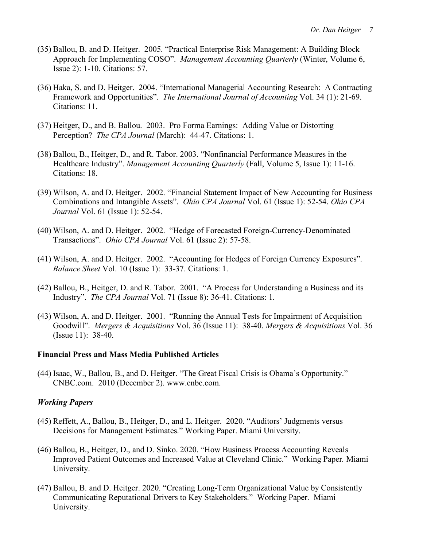- (35) Ballou, B. and D. Heitger. 2005. "Practical Enterprise Risk Management: A Building Block Approach for Implementing COSO". *Management Accounting Quarterly* (Winter, Volume 6, Issue 2): 1-10. Citations: 57.
- (36) Haka, S. and D. Heitger. 2004. "International Managerial Accounting Research: A Contracting Framework and Opportunities". *The International Journal of Accounting* Vol. 34 (1): 21-69. Citations: 11.
- (37) Heitger, D., and B. Ballou. 2003. Pro Forma Earnings: Adding Value or Distorting Perception? *The CPA Journal* (March): 44-47. Citations: 1.
- (38) Ballou, B., Heitger, D., and R. Tabor. 2003. "Nonfinancial Performance Measures in the Healthcare Industry". *Management Accounting Quarterly* (Fall, Volume 5, Issue 1): 11-16. Citations: 18.
- (39) Wilson, A. and D. Heitger. 2002. "Financial Statement Impact of New Accounting for Business Combinations and Intangible Assets". *Ohio CPA Journal* Vol. 61 (Issue 1): 52-54. *Ohio CPA Journal* Vol. 61 (Issue 1): 52-54.
- (40) Wilson, A. and D. Heitger. 2002. "Hedge of Forecasted Foreign-Currency-Denominated Transactions". *Ohio CPA Journal* Vol. 61 (Issue 2): 57-58.
- (41) Wilson, A. and D. Heitger. 2002. "Accounting for Hedges of Foreign Currency Exposures". *Balance Sheet* Vol. 10 (Issue 1): 33-37. Citations: 1.
- (42) Ballou, B., Heitger, D. and R. Tabor. 2001. "A Process for Understanding a Business and its Industry". *The CPA Journal* Vol. 71 (Issue 8): 36-41. Citations: 1.
- (43) Wilson, A. and D. Heitger. 2001. "Running the Annual Tests for Impairment of Acquisition Goodwill". *Mergers & Acquisitions* Vol. 36 (Issue 11): 38-40. *Mergers & Acquisitions* Vol. 36 (Issue 11): 38-40.

#### **Financial Press and Mass Media Published Articles**

(44) Isaac, W., Ballou, B., and D. Heitger. "The Great Fiscal Crisis is Obama's Opportunity." CNBC.com. 2010 (December 2). www.cnbc.com.

#### *Working Papers*

- (45) Reffett, A., Ballou, B., Heitger, D., and L. Heitger. 2020. "Auditors' Judgments versus Decisions for Management Estimates." Working Paper. Miami University.
- (46) Ballou, B., Heitger, D., and D. Sinko. 2020. "How Business Process Accounting Reveals Improved Patient Outcomes and Increased Value at Cleveland Clinic." Working Paper*.* Miami University.
- (47) Ballou, B. and D. Heitger. 2020. "Creating Long-Term Organizational Value by Consistently Communicating Reputational Drivers to Key Stakeholders." Working Paper. Miami University.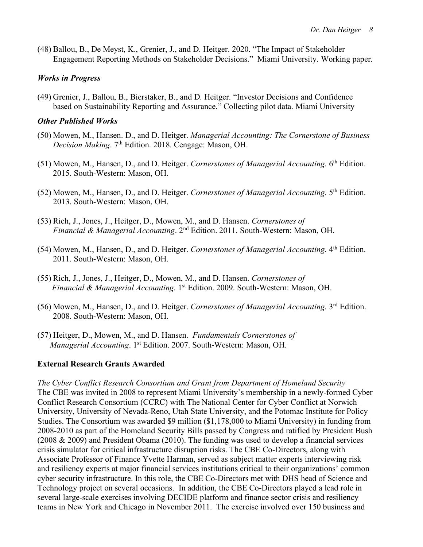(48) Ballou, B., De Meyst, K., Grenier, J., and D. Heitger. 2020. "The Impact of Stakeholder Engagement Reporting Methods on Stakeholder Decisions." Miami University. Working paper.

### *Works in Progress*

(49) Grenier, J., Ballou, B., Bierstaker, B., and D. Heitger. "Investor Decisions and Confidence based on Sustainability Reporting and Assurance." Collecting pilot data. Miami University

#### *Other Published Works*

- (50) Mowen, M., Hansen. D., and D. Heitger. *Managerial Accounting: The Cornerstone of Business Decision Making*. 7th Edition. 2018. Cengage: Mason, OH.
- (51) Mowen, M., Hansen, D., and D. Heitger. *Cornerstones of Managerial Accounting*. 6<sup>th</sup> Edition. 2015. South-Western: Mason, OH.
- (52) Mowen, M., Hansen, D., and D. Heitger. *Cornerstones of Managerial Accounting*. 5th Edition. 2013. South-Western: Mason, OH.
- (53) Rich, J., Jones, J., Heitger, D., Mowen, M., and D. Hansen. *Cornerstones of Financial & Managerial Accounting*. 2nd Edition. 2011. South-Western: Mason, OH.
- (54) Mowen, M., Hansen, D., and D. Heitger. *Cornerstones of Managerial Accounting*. 4th Edition. 2011. South-Western: Mason, OH.
- (55) Rich, J., Jones, J., Heitger, D., Mowen, M., and D. Hansen. *Cornerstones of Financial & Managerial Accounting*. 1st Edition. 2009. South-Western: Mason, OH.
- (56) Mowen, M., Hansen, D., and D. Heitger. *Cornerstones of Managerial Accounting*. 3rd Edition. 2008. South-Western: Mason, OH.
- (57) Heitger, D., Mowen, M., and D. Hansen. *Fundamentals Cornerstones of Managerial Accounting*. 1<sup>st</sup> Edition. 2007. South-Western: Mason, OH.

### **External Research Grants Awarded**

*The Cyber Conflict Research Consortium and Grant from Department of Homeland Security* The CBE was invited in 2008 to represent Miami University's membership in a newly-formed Cyber Conflict Research Consortium (CCRC) with The National Center for Cyber Conflict at Norwich University, University of Nevada-Reno, Utah State University, and the Potomac Institute for Policy Studies. The Consortium was awarded \$9 million (\$1,178,000 to Miami University) in funding from 2008-2010 as part of the Homeland Security Bills passed by Congress and ratified by President Bush (2008 & 2009) and President Obama (2010). The funding was used to develop a financial services crisis simulator for critical infrastructure disruption risks. The CBE Co-Directors, along with Associate Professor of Finance Yvette Harman, served as subject matter experts interviewing risk and resiliency experts at major financial services institutions critical to their organizations' common cyber security infrastructure. In this role, the CBE Co-Directors met with DHS head of Science and Technology project on several occasions. In addition, the CBE Co-Directors played a lead role in several large-scale exercises involving DECIDE platform and finance sector crisis and resiliency teams in New York and Chicago in November 2011. The exercise involved over 150 business and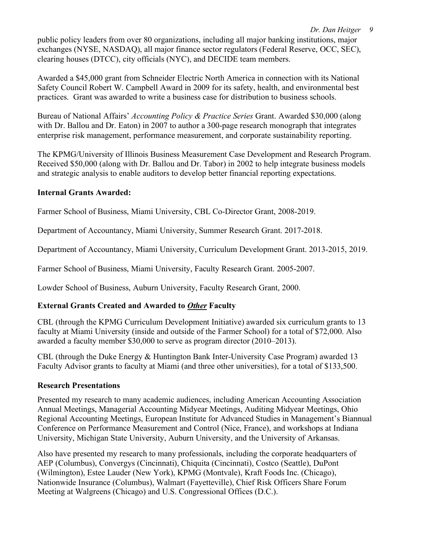*Dr. Dan Heitger 9*

public policy leaders from over 80 organizations, including all major banking institutions, major exchanges (NYSE, NASDAQ), all major finance sector regulators (Federal Reserve, OCC, SEC), clearing houses (DTCC), city officials (NYC), and DECIDE team members.

Awarded a \$45,000 grant from Schneider Electric North America in connection with its National Safety Council Robert W. Campbell Award in 2009 for its safety, health, and environmental best practices. Grant was awarded to write a business case for distribution to business schools.

Bureau of National Affairs' *Accounting Policy & Practice Series* Grant. Awarded \$30,000 (along with Dr. Ballou and Dr. Eaton) in 2007 to author a 300-page research monograph that integrates enterprise risk management, performance measurement, and corporate sustainability reporting.

The KPMG/University of Illinois Business Measurement Case Development and Research Program. Received \$50,000 (along with Dr. Ballou and Dr. Tabor) in 2002 to help integrate business models and strategic analysis to enable auditors to develop better financial reporting expectations.

## **Internal Grants Awarded:**

Farmer School of Business, Miami University, CBL Co-Director Grant, 2008-2019.

Department of Accountancy, Miami University, Summer Research Grant. 2017-2018.

Department of Accountancy, Miami University, Curriculum Development Grant. 2013-2015, 2019.

Farmer School of Business, Miami University, Faculty Research Grant. 2005-2007.

Lowder School of Business, Auburn University, Faculty Research Grant, 2000.

## **External Grants Created and Awarded to** *Other* **Faculty**

CBL (through the KPMG Curriculum Development Initiative) awarded six curriculum grants to 13 faculty at Miami University (inside and outside of the Farmer School) for a total of \$72,000. Also awarded a faculty member \$30,000 to serve as program director (2010–2013).

CBL (through the Duke Energy & Huntington Bank Inter-University Case Program) awarded 13 Faculty Advisor grants to faculty at Miami (and three other universities), for a total of \$133,500.

## **Research Presentations**

Presented my research to many academic audiences, including American Accounting Association Annual Meetings, Managerial Accounting Midyear Meetings, Auditing Midyear Meetings, Ohio Regional Accounting Meetings, European Institute for Advanced Studies in Management's Biannual Conference on Performance Measurement and Control (Nice, France), and workshops at Indiana University, Michigan State University, Auburn University, and the University of Arkansas.

Also have presented my research to many professionals, including the corporate headquarters of AEP (Columbus), Convergys (Cincinnati), Chiquita (Cincinnati), Costco (Seattle), DuPont (Wilmington), Estee Lauder (New York), KPMG (Montvale), Kraft Foods Inc. (Chicago), Nationwide Insurance (Columbus), Walmart (Fayetteville), Chief Risk Officers Share Forum Meeting at Walgreens (Chicago) and U.S. Congressional Offices (D.C.).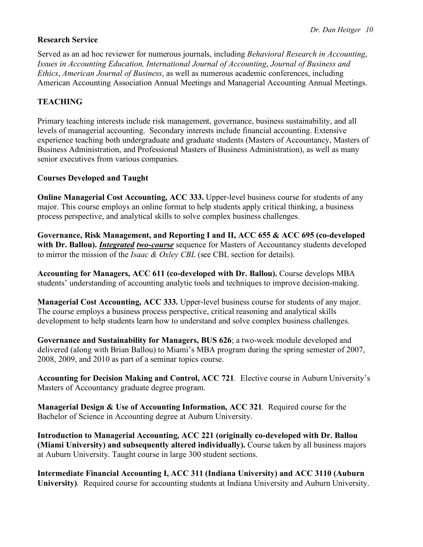## **Research Service**

Served as an ad hoc reviewer for numerous journals, including *Behavioral Research in Accounting*, *Issues in Accounting Education, International Journal of Accounting*, *Journal of Business and Ethics*, *American Journal of Business*, as well as numerous academic conferences, including American Accounting Association Annual Meetings and Managerial Accounting Annual Meetings.

## **TEACHING**

Primary teaching interests include risk management, governance, business sustainability, and all levels of managerial accounting. Secondary interests include financial accounting. Extensive experience teaching both undergraduate and graduate students (Masters of Accountancy, Masters of Business Administration, and Professional Masters of Business Administration), as well as many senior executives from various companies.

#### **Courses Developed and Taught**

**Online Managerial Cost Accounting, ACC 333.** Upper-level business course for students of any major. This course employs an online format to help students apply critical thinking, a business process perspective, and analytical skills to solve complex business challenges.

**Governance, Risk Management, and Reporting I and II, ACC 655 & ACC 695 (co-developed with Dr. Ballou).** *Integrated two-course* sequence for Masters of Accountancy students developed to mirror the mission of the *Isaac & Oxley CBL* (see CBL section for details).

**Accounting for Managers, ACC 611 (co-developed with Dr. Ballou).** Course develops MBA students' understanding of accounting analytic tools and techniques to improve decision-making.

**Managerial Cost Accounting, ACC 333.** Upper-level business course for students of any major. The course employs a business process perspective, critical reasoning and analytical skills development to help students learn how to understand and solve complex business challenges.

**Governance and Sustainability for Managers, BUS 626**; a two-week module developed and delivered (along with Brian Ballou) to Miami's MBA program during the spring semester of 2007, 2008, 2009, and 2010 as part of a seminar topics course.

**Accounting for Decision Making and Control, ACC 721***.* Elective course in Auburn University's Masters of Accountancy graduate degree program.

**Managerial Design & Use of Accounting Information, ACC 321***.* Required course for the Bachelor of Science in Accounting degree at Auburn University.

**Introduction to Managerial Accounting, ACC 221 (originally co-developed with Dr. Ballou (Miami University) and subsequently altered individually).** Course taken by all business majors at Auburn University. Taught course in large 300 student sections.

**Intermediate Financial Accounting I, ACC 311 (Indiana University) and ACC 3110 (Auburn University)***.* Required course for accounting students at Indiana University and Auburn University.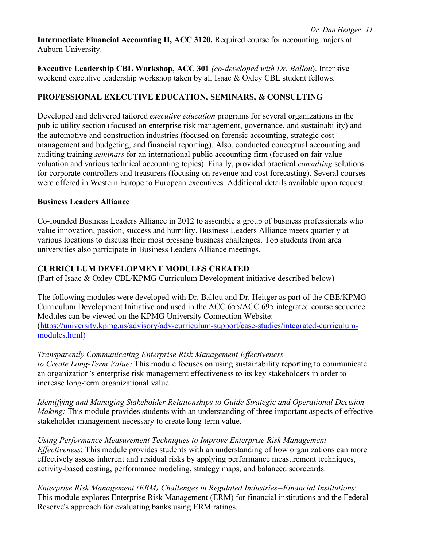**Intermediate Financial Accounting II, ACC 3120.** Required course for accounting majors at Auburn University.

**Executive Leadership CBL Workshop, ACC 301** *(co-developed with Dr. Ballou*). Intensive weekend executive leadership workshop taken by all Isaac & Oxley CBL student fellows.

## **PROFESSIONAL EXECUTIVE EDUCATION, SEMINARS, & CONSULTING**

Developed and delivered tailored *executive education* programs for several organizations in the public utility section (focused on enterprise risk management, governance, and sustainability) and the automotive and construction industries (focused on forensic accounting, strategic cost management and budgeting, and financial reporting). Also, conducted conceptual accounting and auditing training *seminars* for an international public accounting firm (focused on fair value valuation and various technical accounting topics). Finally, provided practical *consulting* solutions for corporate controllers and treasurers (focusing on revenue and cost forecasting). Several courses were offered in Western Europe to European executives. Additional details available upon request.

## **Business Leaders Alliance**

Co-founded Business Leaders Alliance in 2012 to assemble a group of business professionals who value innovation, passion, success and humility. Business Leaders Alliance meets quarterly at various locations to discuss their most pressing business challenges. Top students from area universities also participate in Business Leaders Alliance meetings.

## **CURRICULUM DEVELOPMENT MODULES CREATED**

(Part of Isaac & Oxley CBL/KPMG Curriculum Development initiative described below)

The following modules were developed with Dr. Ballou and Dr. Heitger as part of the CBE/KPMG Curriculum Development Initiative and used in the ACC 655/ACC 695 integrated course sequence. Modules can be viewed on the KPMG University Connection Website: (https://university.kpmg.us/advisory/adv-curriculum-support/case-studies/integrated-curriculummodules.html)

## *Transparently Communicating Enterprise Risk Management Effectiveness*

*to Create Long-Term Value:* This module focuses on using sustainability reporting to communicate an organization's enterprise risk management effectiveness to its key stakeholders in order to increase long-term organizational value.

*Identifying and Managing Stakeholder Relationships to Guide Strategic and Operational Decision Making:* This module provides students with an understanding of three important aspects of effective stakeholder management necessary to create long-term value.

*Using Performance Measurement Techniques to Improve Enterprise Risk Management Effectiveness*: This module provides students with an understanding of how organizations can more effectively assess inherent and residual risks by applying performance measurement techniques, activity-based costing, performance modeling, strategy maps, and balanced scorecards.

*Enterprise Risk Management (ERM) Challenges in Regulated Industries--Financial Institutions*: This module explores Enterprise Risk Management (ERM) for financial institutions and the Federal Reserve's approach for evaluating banks using ERM ratings.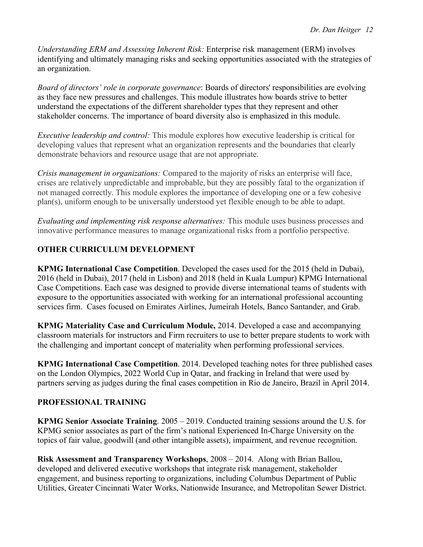*Understanding ERM and Assessing Inherent Risk:* Enterprise risk management (ERM) involves identifying and ultimately managing risks and seeking opportunities associated with the strategies of an organization.

*Board of directors' role in corporate governance*: Boards of directors' responsibilities are evolving as they face new pressures and challenges. This module illustrates how boards strive to better understand the expectations of the different shareholder types that they represent and other stakeholder concerns. The importance of board diversity also is emphasized in this module.

*Executive leadership and control:* This module explores how executive leadership is critical for developing values that represent what an organization represents and the boundaries that clearly demonstrate behaviors and resource usage that are not appropriate.

*Crisis management in organizations:* Compared to the majority of risks an enterprise will face, crises are relatively unpredictable and improbable, but they are possibly fatal to the organization if not managed correctly. This module explores the importance of developing one or a few cohesive plan(s), uniform enough to be universally understood yet flexible enough to be able to adapt.

*Evaluating and implementing risk response alternatives:* This module uses business processes and innovative performance measures to manage organizational risks from a portfolio perspective.

# **OTHER CURRICULUM DEVELOPMENT**

**KPMG International Case Competition**. Developed the cases used for the 2015 (held in Dubai), 2016 (held in Dubai), 2017 (held in Lisbon) and 2018 (held in Kuala Lumpur) KPMG International Case Competitions. Each case was designed to provide diverse international teams of students with exposure to the opportunities associated with working for an international professional accounting services firm. Cases focused on Emirates Airlines, Jumeirah Hotels, Banco Santander, and Grab.

**KPMG Materiality Case and Curriculum Module,** 2014. Developed a case and accompanying classroom materials for instructors and Firm recruiters to use to better prepare students to work with the challenging and important concept of materiality when performing professional services.

**KPMG International Case Competition**. 2014. Developed teaching notes for three published cases on the London Olympics, 2022 World Cup in Qatar, and fracking in Ireland that were used by partners serving as judges during the final cases competition in Rio de Janeiro, Brazil in April 2014.

### **PROFESSIONAL TRAINING**

**KPMG Senior Associate Training**. 2005 – 2019. Conducted training sessions around the U.S. for KPMG senior associates as part of the firm's national Experienced In-Charge University on the topics of fair value, goodwill (and other intangible assets), impairment, and revenue recognition.

**Risk Assessment and Transparency Workshops**, 2008 – 2014. Along with Brian Ballou, developed and delivered executive workshops that integrate risk management, stakeholder engagement, and business reporting to organizations, including Columbus Department of Public Utilities, Greater Cincinnati Water Works, Nationwide Insurance, and Metropolitan Sewer District.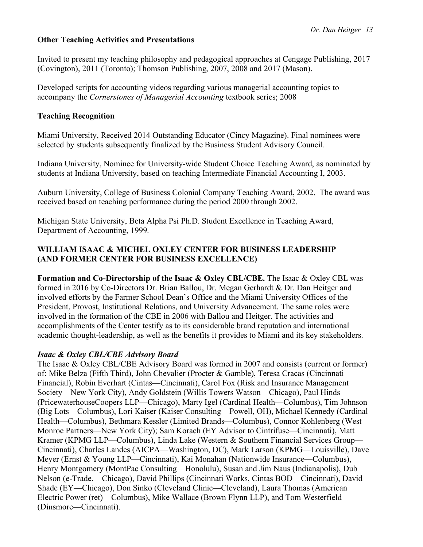#### **Other Teaching Activities and Presentations**

Invited to present my teaching philosophy and pedagogical approaches at Cengage Publishing, 2017 (Covington), 2011 (Toronto); Thomson Publishing, 2007, 2008 and 2017 (Mason).

Developed scripts for accounting videos regarding various managerial accounting topics to accompany the *Cornerstones of Managerial Accounting* textbook series; 2008

#### **Teaching Recognition**

Miami University, Received 2014 Outstanding Educator (Cincy Magazine). Final nominees were selected by students subsequently finalized by the Business Student Advisory Council.

Indiana University, Nominee for University-wide Student Choice Teaching Award, as nominated by students at Indiana University, based on teaching Intermediate Financial Accounting I, 2003.

Auburn University, College of Business Colonial Company Teaching Award, 2002. The award was received based on teaching performance during the period 2000 through 2002.

Michigan State University, Beta Alpha Psi Ph.D. Student Excellence in Teaching Award, Department of Accounting, 1999.

### **WILLIAM ISAAC & MICHEL OXLEY CENTER FOR BUSINESS LEADERSHIP (AND FORMER CENTER FOR BUSINESS EXCELLENCE)**

**Formation and Co-Directorship of the Isaac & Oxley CBL/CBE.** The Isaac & Oxley CBL was formed in 2016 by Co-Directors Dr. Brian Ballou, Dr. Megan Gerhardt & Dr. Dan Heitger and involved efforts by the Farmer School Dean's Office and the Miami University Offices of the President, Provost, Institutional Relations, and University Advancement. The same roles were involved in the formation of the CBE in 2006 with Ballou and Heitger. The activities and accomplishments of the Center testify as to its considerable brand reputation and international academic thought-leadership, as well as the benefits it provides to Miami and its key stakeholders.

#### *Isaac & Oxley CBL/CBE Advisory Board*

The Isaac & Oxley CBL/CBE Advisory Board was formed in 2007 and consists (current or former) of: Mike Belza (Fifth Third), John Chevalier (Procter & Gamble), Teresa Cracas (Cincinnati Financial), Robin Everhart (Cintas—Cincinnati), Carol Fox (Risk and Insurance Management Society—New York City), Andy Goldstein (Willis Towers Watson—Chicago), Paul Hinds (PricewaterhouseCoopers LLP—Chicago), Marty Igel (Cardinal Health—Columbus), Tim Johnson (Big Lots—Columbus), Lori Kaiser (Kaiser Consulting—Powell, OH), Michael Kennedy (Cardinal Health—Columbus), Bethmara Kessler (Limited Brands—Columbus), Connor Kohlenberg (West Monroe Partners—New York City); Sam Korach (EY Advisor to Cintrifuse—Cincinnati), Matt Kramer (KPMG LLP—Columbus), Linda Lake (Western & Southern Financial Services Group— Cincinnati), Charles Landes (AICPA—Washington, DC), Mark Larson (KPMG—Louisville), Dave Meyer (Ernst & Young LLP—Cincinnati), Kai Monahan (Nationwide Insurance—Columbus), Henry Montgomery (MontPac Consulting—Honolulu), Susan and Jim Naus (Indianapolis), Dub Nelson (e-Trade.—Chicago), David Phillips (Cincinnati Works, Cintas BOD—Cincinnati), David Shade (EY—Chicago), Don Sinko (Cleveland Clinic—Cleveland), Laura Thomas (American Electric Power (ret)—Columbus), Mike Wallace (Brown Flynn LLP), and Tom Westerfield (Dinsmore—Cincinnati).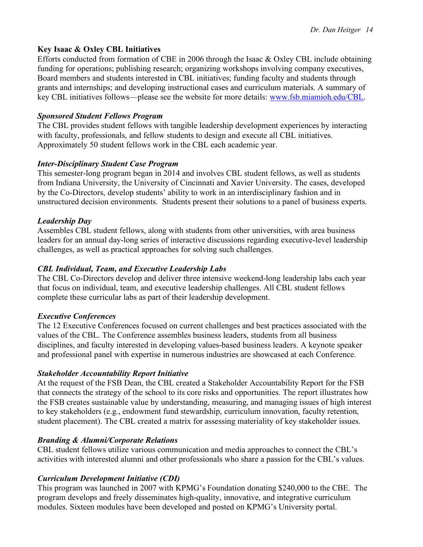### **Key Isaac & Oxley CBL Initiatives**

Efforts conducted from formation of CBE in 2006 through the Isaac & Oxley CBL include obtaining funding for operations; publishing research; organizing workshops involving company executives, Board members and students interested in CBL initiatives; funding faculty and students through grants and internships; and developing instructional cases and curriculum materials. A summary of key CBL initiatives follows—please see the website for more details: www.fsb.miamioh.edu/CBL.

### *Sponsored Student Fellows Program*

The CBL provides student fellows with tangible leadership development experiences by interacting with faculty, professionals, and fellow students to design and execute all CBL initiatives. Approximately 50 student fellows work in the CBL each academic year.

### *Inter-Disciplinary Student Case Program*

This semester-long program began in 2014 and involves CBL student fellows, as well as students from Indiana University, the University of Cincinnati and Xavier University. The cases, developed by the Co-Directors, develop students' ability to work in an interdisciplinary fashion and in unstructured decision environments. Students present their solutions to a panel of business experts.

#### *Leadership Day*

Assembles CBL student fellows, along with students from other universities, with area business leaders for an annual day-long series of interactive discussions regarding executive-level leadership challenges, as well as practical approaches for solving such challenges.

### *CBL Individual, Team, and Executive Leadership Labs*

The CBL Co-Directors develop and deliver three intensive weekend-long leadership labs each year that focus on individual, team, and executive leadership challenges. All CBL student fellows complete these curricular labs as part of their leadership development.

#### *Executive Conferences*

The 12 Executive Conferences focused on current challenges and best practices associated with the values of the CBL. The Conference assembles business leaders, students from all business disciplines, and faculty interested in developing values-based business leaders. A keynote speaker and professional panel with expertise in numerous industries are showcased at each Conference.

### *Stakeholder Accountability Report Initiative*

At the request of the FSB Dean, the CBL created a Stakeholder Accountability Report for the FSB that connects the strategy of the school to its core risks and opportunities. The report illustrates how the FSB creates sustainable value by understanding, measuring, and managing issues of high interest to key stakeholders (e.g., endowment fund stewardship, curriculum innovation, faculty retention, student placement). The CBL created a matrix for assessing materiality of key stakeholder issues.

#### *Branding & Alumni/Corporate Relations*

CBL student fellows utilize various communication and media approaches to connect the CBL's activities with interested alumni and other professionals who share a passion for the CBL's values.

### *Curriculum Development Initiative (CDI)*

This program was launched in 2007 with KPMG's Foundation donating \$240,000 to the CBE. The program develops and freely disseminates high-quality, innovative, and integrative curriculum modules. Sixteen modules have been developed and posted on KPMG's University portal.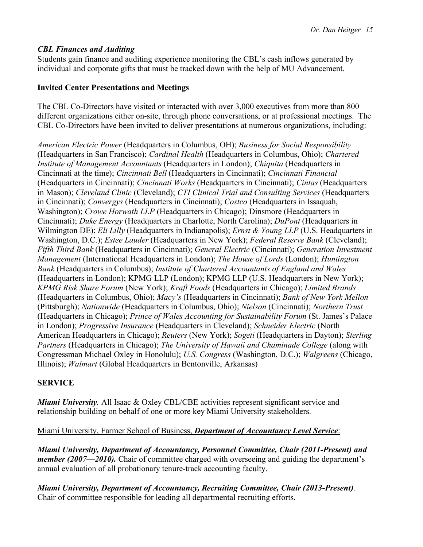### *CBL Finances and Auditing*

Students gain finance and auditing experience monitoring the CBL's cash inflows generated by individual and corporate gifts that must be tracked down with the help of MU Advancement.

#### **Invited Center Presentations and Meetings**

The CBL Co-Directors have visited or interacted with over 3,000 executives from more than 800 different organizations either on-site, through phone conversations, or at professional meetings. The CBL Co-Directors have been invited to deliver presentations at numerous organizations, including:

*American Electric Power* (Headquarters in Columbus, OH); *Business for Social Responsibility* (Headquarters in San Francisco); *Cardinal Health* (Headquarters in Columbus, Ohio); *Chartered Institute of Management Accountants* (Headquarters in London); *Chiquita* (Headquarters in Cincinnati at the time); *Cincinnati Bell* (Headquarters in Cincinnati); *Cincinnati Financial* (Headquarters in Cincinnati); *Cincinnati Works* (Headquarters in Cincinnati); *Cintas* (Headquarters in Mason); *Cleveland Clinic* (Cleveland); *CTI Clinical Trial and Consulting Services* (Headquarters in Cincinnati); *Convergys* (Headquarters in Cincinnati); *Costco* (Headquarters in Issaquah, Washington); *Crowe Horwath LLP* (Headquarters in Chicago); Dinsmore (Headquarters in Cincinnati); *Duke Energy* (Headquarters in Charlotte, North Carolina); *DuPont* (Headquarters in Wilmington DE); *Eli Lilly* (Headquarters in Indianapolis); *Ernst & Young LLP* (U.S. Headquarters in Washington, D.C.); *Estee Lauder* (Headquarters in New York); *Federal Reserve Bank* (Cleveland); *Fifth Third Bank* (Headquarters in Cincinnati); *General Electric* (Cincinnati); *Generation Investment Management* (International Headquarters in London); *The House of Lords* (London); *Huntington Bank* (Headquarters in Columbus); *Institute of Chartered Accountants of England and Wales* (Headquarters in London); KPMG LLP (London); KPMG LLP (U.S. Headquarters in New York); *KPMG Risk Share Forum* (New York); *Kraft Foods* (Headquarters in Chicago); *Limited Brands* (Headquarters in Columbus, Ohio); *Macy's* (Headquarters in Cincinnati); *Bank of New York Mellon*  (Pittsburgh); *Nationwide* (Headquarters in Columbus, Ohio); *Nielson* (Cincinnati); *Northern Trust* (Headquarters in Chicago); *Prince of Wales Accounting for Sustainability Forum* (St. James's Palace in London); *Progressive Insurance* (Headquarters in Cleveland); *Schneider Electric* (North American Headquarters in Chicago); *Reuters* (New York); *Sogeti* (Headquarters in Dayton); *Sterling Partners* (Headquarters in Chicago); *The University of Hawaii and Chaminade College* (along with Congressman Michael Oxley in Honolulu); *U.S. Congress* (Washington, D.C.); *Walgreens* (Chicago, Illinois); *Walmart* (Global Headquarters in Bentonville, Arkansas)

### **SERVICE**

*Miami University.* All Isaac & Oxley CBL/CBE activities represent significant service and relationship building on behalf of one or more key Miami University stakeholders.

### Miami University, Farmer School of Business, *Department of Accountancy Level Service*:

*Miami University, Department of Accountancy, Personnel Committee, Chair (2011-Present) and member (2007—2010).* Chair of committee charged with overseeing and guiding the department's annual evaluation of all probationary tenure-track accounting faculty.

*Miami University, Department of Accountancy, Recruiting Committee, Chair (2013-Present).*  Chair of committee responsible for leading all departmental recruiting efforts.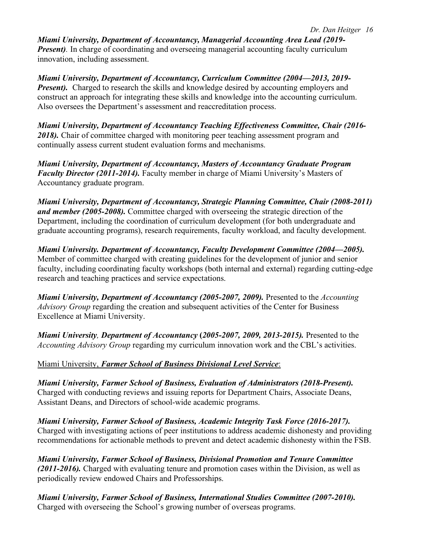*Miami University, Department of Accountancy, Managerial Accounting Area Lead (2019- Present*). In charge of coordinating and overseeing managerial accounting faculty curriculum innovation, including assessment.

*Miami University, Department of Accountancy, Curriculum Committee (2004—2013, 2019- Present*). Charged to research the skills and knowledge desired by accounting employers and construct an approach for integrating these skills and knowledge into the accounting curriculum. Also oversees the Department's assessment and reaccreditation process.

*Miami University, Department of Accountancy Teaching Effectiveness Committee, Chair (2016-* 2018). Chair of committee charged with monitoring peer teaching assessment program and continually assess current student evaluation forms and mechanisms.

*Miami University, Department of Accountancy, Masters of Accountancy Graduate Program Faculty Director (2011-2014).* Faculty member in charge of Miami University's Masters of Accountancy graduate program.

*Miami University, Department of Accountancy, Strategic Planning Committee, Chair (2008-2011) and member (2005-2008).* Committee charged with overseeing the strategic direction of the Department, including the coordination of curriculum development (for both undergraduate and graduate accounting programs), research requirements, faculty workload, and faculty development.

*Miami University. Department of Accountancy, Faculty Development Committee (2004—2005).* Member of committee charged with creating guidelines for the development of junior and senior faculty, including coordinating faculty workshops (both internal and external) regarding cutting-edge research and teaching practices and service expectations.

*Miami University, Department of Accountancy (2005-2007, 2009).* Presented to the *Accounting Advisory Group* regarding the creation and subsequent activities of the Center for Business Excellence at Miami University.

*Miami University, Department of Accountancy* **(***2005-2007, 2009, 2013-2015).* Presented to the *Accounting Advisory Group* regarding my curriculum innovation work and the CBL's activities.

## Miami University, *Farmer School of Business Divisional Level Service*:

*Miami University, Farmer School of Business, Evaluation of Administrators (2018-Present).* Charged with conducting reviews and issuing reports for Department Chairs, Associate Deans, Assistant Deans, and Directors of school-wide academic programs.

*Miami University, Farmer School of Business, Academic Integrity Task Force (2016-2017).* Charged with investigating actions of peer institutions to address academic dishonesty and providing recommendations for actionable methods to prevent and detect academic dishonesty within the FSB.

*Miami University, Farmer School of Business, Divisional Promotion and Tenure Committee (2011-2016).* Charged with evaluating tenure and promotion cases within the Division, as well as periodically review endowed Chairs and Professorships.

*Miami University, Farmer School of Business, International Studies Committee (2007-2010).* Charged with overseeing the School's growing number of overseas programs.